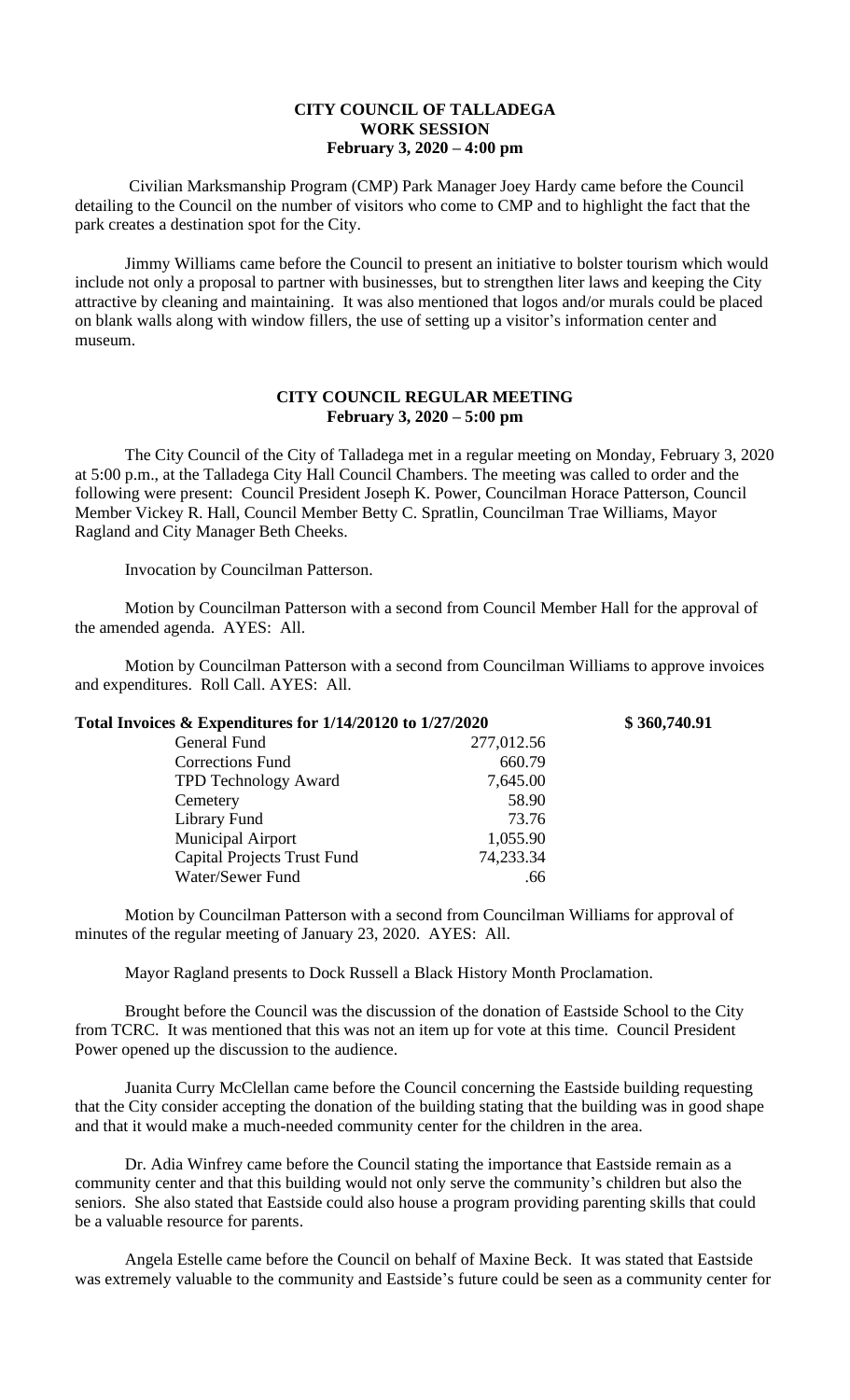## **CITY COUNCIL OF TALLADEGA WORK SESSION February 3, 2020 – 4:00 pm**

Civilian Marksmanship Program (CMP) Park Manager Joey Hardy came before the Council detailing to the Council on the number of visitors who come to CMP and to highlight the fact that the park creates a destination spot for the City.

Jimmy Williams came before the Council to present an initiative to bolster tourism which would include not only a proposal to partner with businesses, but to strengthen liter laws and keeping the City attractive by cleaning and maintaining. It was also mentioned that logos and/or murals could be placed on blank walls along with window fillers, the use of setting up a visitor's information center and museum.

## **CITY COUNCIL REGULAR MEETING February 3, 2020 – 5:00 pm**

The City Council of the City of Talladega met in a regular meeting on Monday, February 3, 2020 at 5:00 p.m., at the Talladega City Hall Council Chambers. The meeting was called to order and the following were present: Council President Joseph K. Power, Councilman Horace Patterson, Council Member Vickey R. Hall, Council Member Betty C. Spratlin, Councilman Trae Williams, Mayor Ragland and City Manager Beth Cheeks.

Invocation by Councilman Patterson.

Motion by Councilman Patterson with a second from Council Member Hall for the approval of the amended agenda. AYES: All.

Motion by Councilman Patterson with a second from Councilman Williams to approve invoices and expenditures. Roll Call. AYES: All.

| Total Invoices & Expenditures for 1/14/20120 to 1/27/2020 |            | \$360,740.91 |
|-----------------------------------------------------------|------------|--------------|
| General Fund                                              | 277,012.56 |              |
| Corrections Fund                                          | 660.79     |              |
| <b>TPD Technology Award</b>                               | 7,645.00   |              |
| Cemetery                                                  | 58.90      |              |
| Library Fund                                              | 73.76      |              |
| <b>Municipal Airport</b>                                  | 1,055.90   |              |
| <b>Capital Projects Trust Fund</b>                        | 74,233.34  |              |
| Water/Sewer Fund                                          | .66        |              |

Motion by Councilman Patterson with a second from Councilman Williams for approval of minutes of the regular meeting of January 23, 2020. AYES: All.

Mayor Ragland presents to Dock Russell a Black History Month Proclamation.

Brought before the Council was the discussion of the donation of Eastside School to the City from TCRC. It was mentioned that this was not an item up for vote at this time. Council President Power opened up the discussion to the audience.

Juanita Curry McClellan came before the Council concerning the Eastside building requesting that the City consider accepting the donation of the building stating that the building was in good shape and that it would make a much-needed community center for the children in the area.

Dr. Adia Winfrey came before the Council stating the importance that Eastside remain as a community center and that this building would not only serve the community's children but also the seniors. She also stated that Eastside could also house a program providing parenting skills that could be a valuable resource for parents.

Angela Estelle came before the Council on behalf of Maxine Beck. It was stated that Eastside was extremely valuable to the community and Eastside's future could be seen as a community center for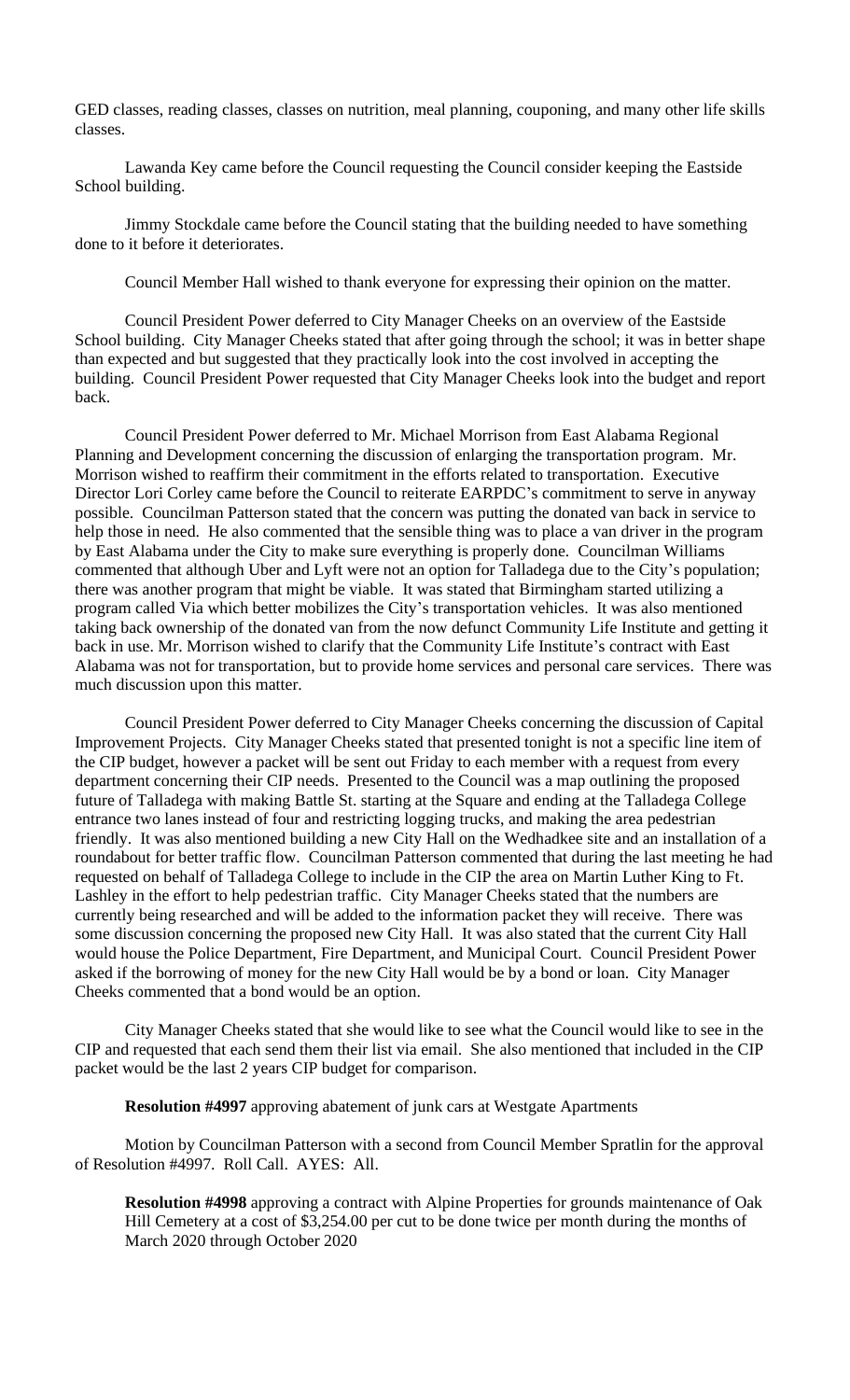GED classes, reading classes, classes on nutrition, meal planning, couponing, and many other life skills classes.

Lawanda Key came before the Council requesting the Council consider keeping the Eastside School building.

Jimmy Stockdale came before the Council stating that the building needed to have something done to it before it deteriorates.

Council Member Hall wished to thank everyone for expressing their opinion on the matter.

Council President Power deferred to City Manager Cheeks on an overview of the Eastside School building. City Manager Cheeks stated that after going through the school; it was in better shape than expected and but suggested that they practically look into the cost involved in accepting the building. Council President Power requested that City Manager Cheeks look into the budget and report back.

Council President Power deferred to Mr. Michael Morrison from East Alabama Regional Planning and Development concerning the discussion of enlarging the transportation program. Mr. Morrison wished to reaffirm their commitment in the efforts related to transportation. Executive Director Lori Corley came before the Council to reiterate EARPDC's commitment to serve in anyway possible. Councilman Patterson stated that the concern was putting the donated van back in service to help those in need. He also commented that the sensible thing was to place a van driver in the program by East Alabama under the City to make sure everything is properly done. Councilman Williams commented that although Uber and Lyft were not an option for Talladega due to the City's population; there was another program that might be viable. It was stated that Birmingham started utilizing a program called Via which better mobilizes the City's transportation vehicles. It was also mentioned taking back ownership of the donated van from the now defunct Community Life Institute and getting it back in use. Mr. Morrison wished to clarify that the Community Life Institute's contract with East Alabama was not for transportation, but to provide home services and personal care services. There was much discussion upon this matter.

Council President Power deferred to City Manager Cheeks concerning the discussion of Capital Improvement Projects. City Manager Cheeks stated that presented tonight is not a specific line item of the CIP budget, however a packet will be sent out Friday to each member with a request from every department concerning their CIP needs. Presented to the Council was a map outlining the proposed future of Talladega with making Battle St. starting at the Square and ending at the Talladega College entrance two lanes instead of four and restricting logging trucks, and making the area pedestrian friendly. It was also mentioned building a new City Hall on the Wedhadkee site and an installation of a roundabout for better traffic flow. Councilman Patterson commented that during the last meeting he had requested on behalf of Talladega College to include in the CIP the area on Martin Luther King to Ft. Lashley in the effort to help pedestrian traffic. City Manager Cheeks stated that the numbers are currently being researched and will be added to the information packet they will receive. There was some discussion concerning the proposed new City Hall. It was also stated that the current City Hall would house the Police Department, Fire Department, and Municipal Court. Council President Power asked if the borrowing of money for the new City Hall would be by a bond or loan. City Manager Cheeks commented that a bond would be an option.

City Manager Cheeks stated that she would like to see what the Council would like to see in the CIP and requested that each send them their list via email. She also mentioned that included in the CIP packet would be the last 2 years CIP budget for comparison.

**Resolution #4997** approving abatement of junk cars at Westgate Apartments

Motion by Councilman Patterson with a second from Council Member Spratlin for the approval of Resolution #4997. Roll Call. AYES: All.

**Resolution #4998** approving a contract with Alpine Properties for grounds maintenance of Oak Hill Cemetery at a cost of \$3,254.00 per cut to be done twice per month during the months of March 2020 through October 2020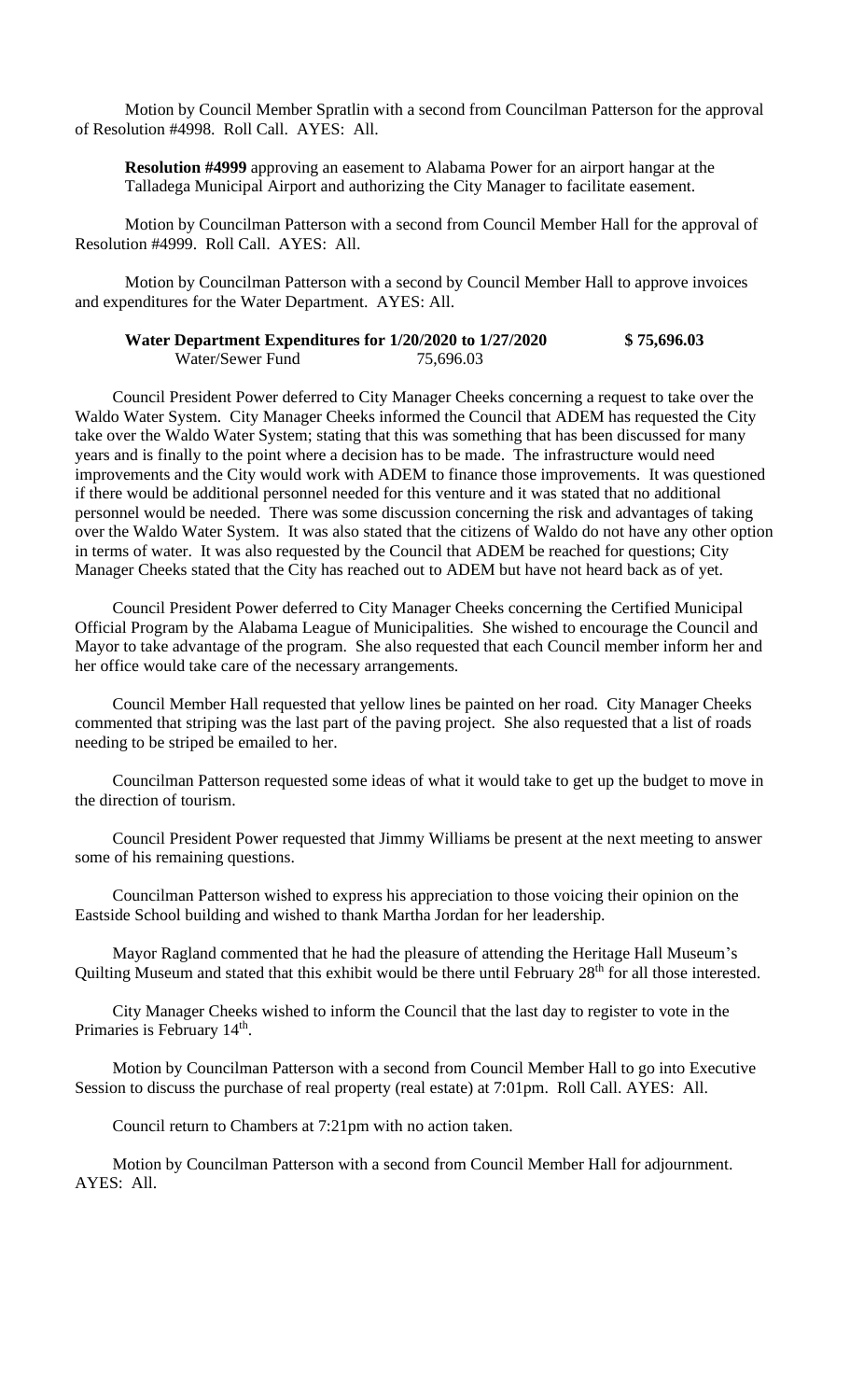Motion by Council Member Spratlin with a second from Councilman Patterson for the approval of Resolution #4998. Roll Call. AYES: All.

**Resolution #4999** approving an easement to Alabama Power for an airport hangar at the Talladega Municipal Airport and authorizing the City Manager to facilitate easement.

Motion by Councilman Patterson with a second from Council Member Hall for the approval of Resolution #4999. Roll Call. AYES: All.

Motion by Councilman Patterson with a second by Council Member Hall to approve invoices and expenditures for the Water Department. AYES: All.

| Water Department Expenditures for 1/20/2020 to 1/27/2020 |           | \$75,696.03 |
|----------------------------------------------------------|-----------|-------------|
| Water/Sewer Fund                                         | 75,696.03 |             |

Council President Power deferred to City Manager Cheeks concerning a request to take over the Waldo Water System. City Manager Cheeks informed the Council that ADEM has requested the City take over the Waldo Water System; stating that this was something that has been discussed for many years and is finally to the point where a decision has to be made. The infrastructure would need improvements and the City would work with ADEM to finance those improvements. It was questioned if there would be additional personnel needed for this venture and it was stated that no additional personnel would be needed. There was some discussion concerning the risk and advantages of taking over the Waldo Water System. It was also stated that the citizens of Waldo do not have any other option in terms of water. It was also requested by the Council that ADEM be reached for questions; City Manager Cheeks stated that the City has reached out to ADEM but have not heard back as of yet.

Council President Power deferred to City Manager Cheeks concerning the Certified Municipal Official Program by the Alabama League of Municipalities. She wished to encourage the Council and Mayor to take advantage of the program. She also requested that each Council member inform her and her office would take care of the necessary arrangements.

Council Member Hall requested that yellow lines be painted on her road. City Manager Cheeks commented that striping was the last part of the paving project. She also requested that a list of roads needing to be striped be emailed to her.

Councilman Patterson requested some ideas of what it would take to get up the budget to move in the direction of tourism.

Council President Power requested that Jimmy Williams be present at the next meeting to answer some of his remaining questions.

Councilman Patterson wished to express his appreciation to those voicing their opinion on the Eastside School building and wished to thank Martha Jordan for her leadership.

Mayor Ragland commented that he had the pleasure of attending the Heritage Hall Museum's Quilting Museum and stated that this exhibit would be there until February 28<sup>th</sup> for all those interested.

City Manager Cheeks wished to inform the Council that the last day to register to vote in the Primaries is February 14<sup>th</sup>.

Motion by Councilman Patterson with a second from Council Member Hall to go into Executive Session to discuss the purchase of real property (real estate) at 7:01pm. Roll Call. AYES: All.

Council return to Chambers at 7:21pm with no action taken.

Motion by Councilman Patterson with a second from Council Member Hall for adjournment. AYES: All.